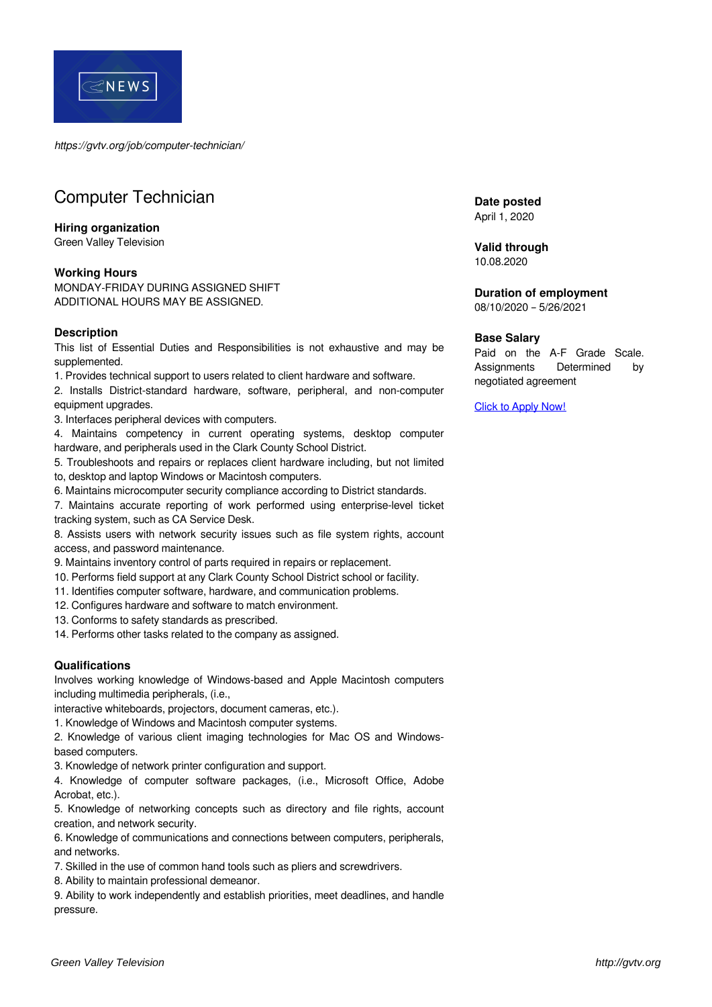

*https://gvtv.org/job/computer-technician/*

# Computer Technician

## **Hiring organization**

Green Valley Television

#### **Working Hours**

MONDAY-FRIDAY DURING ASSIGNED SHIFT ADDITIONAL HOURS MAY BE ASSIGNED.

#### **Description**

This list of Essential Duties and Responsibilities is not exhaustive and may be supplemented.

1. Provides technical support to users related to client hardware and software.

2. Installs District-standard hardware, software, peripheral, and non-computer equipment upgrades.

3. Interfaces peripheral devices with computers.

4. Maintains competency in current operating systems, desktop computer hardware, and peripherals used in the Clark County School District.

5. Troubleshoots and repairs or replaces client hardware including, but not limited to, desktop and laptop Windows or Macintosh computers.

6. Maintains microcomputer security compliance according to District standards.

7. Maintains accurate reporting of work performed using enterprise-level ticket tracking system, such as CA Service Desk.

8. Assists users with network security issues such as file system rights, account access, and password maintenance.

9. Maintains inventory control of parts required in repairs or replacement.

- 10. Performs field support at any Clark County School District school or facility.
- 11. Identifies computer software, hardware, and communication problems.

12. Configures hardware and software to match environment.

13. Conforms to safety standards as prescribed.

14. Performs other tasks related to the company as assigned.

### **Qualifications**

Involves working knowledge of Windows-based and Apple Macintosh computers including multimedia peripherals, (i.e.,

interactive whiteboards, projectors, document cameras, etc.).

1. Knowledge of Windows and Macintosh computer systems.

2. Knowledge of various client imaging technologies for Mac OS and Windowsbased computers.

3. Knowledge of network printer configuration and support.

4. Knowledge of computer software packages, (i.e., Microsoft Office, Adobe Acrobat, etc.).

5. Knowledge of networking concepts such as directory and file rights, account creation, and network security.

6. Knowledge of communications and connections between computers, peripherals, and networks.

7. Skilled in the use of common hand tools such as pliers and screwdrivers.

8. Ability to maintain professional demeanor.

9. Ability to work independently and establish priorities, meet deadlines, and handle pressure.

**Date posted** April 1, 2020

**Valid through**

10.08.2020

**Duration of employment** 08/10/2020 – 5/26/2021

## **Base Salary**

Paid on the A-F Grade Scale. Assignments Determined by negotiated agreement

[Click to Apply Now!](https://docs.google.com/forms/d/e/1FAIpQLScOpFE8ffKcM5J4X33GS77hj6neXF8r-7ak8680-kLSFfLkCw/viewform?usp=sf_link)